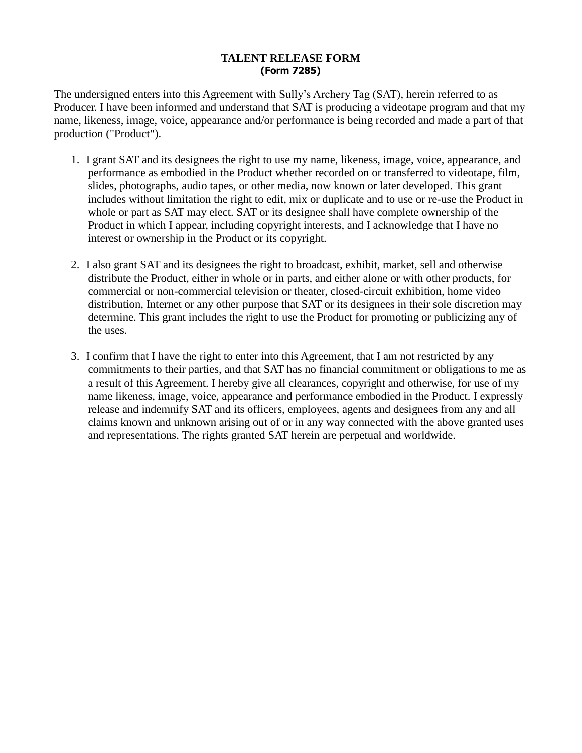## **TALENT RELEASE FORM (Form 7285)**

The undersigned enters into this Agreement with Sully's Archery Tag (SAT), herein referred to as Producer. I have been informed and understand that SAT is producing a videotape program and that my name, likeness, image, voice, appearance and/or performance is being recorded and made a part of that production ("Product").

- 1. I grant SAT and its designees the right to use my name, likeness, image, voice, appearance, and performance as embodied in the Product whether recorded on or transferred to videotape, film, slides, photographs, audio tapes, or other media, now known or later developed. This grant includes without limitation the right to edit, mix or duplicate and to use or re-use the Product in whole or part as SAT may elect. SAT or its designee shall have complete ownership of the Product in which I appear, including copyright interests, and I acknowledge that I have no interest or ownership in the Product or its copyright.
- 2. I also grant SAT and its designees the right to broadcast, exhibit, market, sell and otherwise distribute the Product, either in whole or in parts, and either alone or with other products, for commercial or non-commercial television or theater, closed-circuit exhibition, home video distribution, Internet or any other purpose that SAT or its designees in their sole discretion may determine. This grant includes the right to use the Product for promoting or publicizing any of the uses.
- 3. I confirm that I have the right to enter into this Agreement, that I am not restricted by any commitments to their parties, and that SAT has no financial commitment or obligations to me as a result of this Agreement. I hereby give all clearances, copyright and otherwise, for use of my name likeness, image, voice, appearance and performance embodied in the Product. I expressly release and indemnify SAT and its officers, employees, agents and designees from any and all claims known and unknown arising out of or in any way connected with the above granted uses and representations. The rights granted SAT herein are perpetual and worldwide.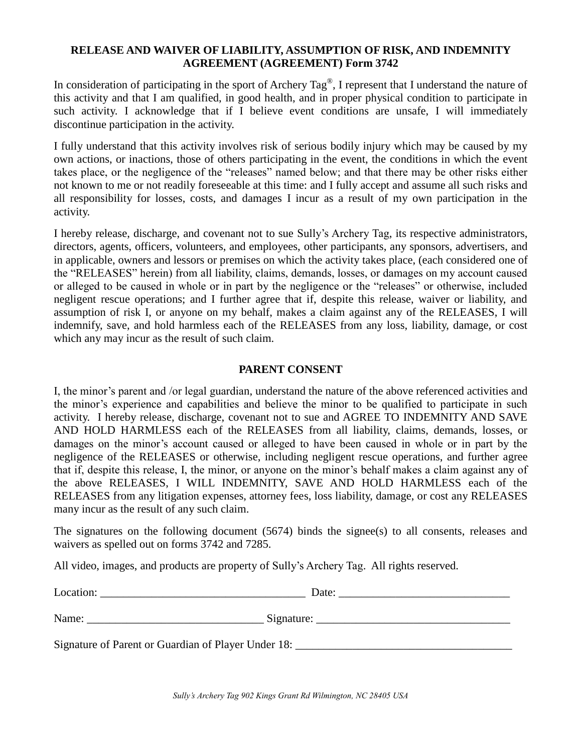## **RELEASE AND WAIVER OF LIABILITY, ASSUMPTION OF RISK, AND INDEMNITY AGREEMENT (AGREEMENT) Form 3742**

In consideration of participating in the sport of Archery Tag<sup>®</sup>, I represent that I understand the nature of this activity and that I am qualified, in good health, and in proper physical condition to participate in such activity. I acknowledge that if I believe event conditions are unsafe, I will immediately discontinue participation in the activity.

I fully understand that this activity involves risk of serious bodily injury which may be caused by my own actions, or inactions, those of others participating in the event, the conditions in which the event takes place, or the negligence of the "releases" named below; and that there may be other risks either not known to me or not readily foreseeable at this time: and I fully accept and assume all such risks and all responsibility for losses, costs, and damages I incur as a result of my own participation in the activity.

I hereby release, discharge, and covenant not to sue Sully's Archery Tag, its respective administrators, directors, agents, officers, volunteers, and employees, other participants, any sponsors, advertisers, and in applicable, owners and lessors or premises on which the activity takes place, (each considered one of the "RELEASES" herein) from all liability, claims, demands, losses, or damages on my account caused or alleged to be caused in whole or in part by the negligence or the "releases" or otherwise, included negligent rescue operations; and I further agree that if, despite this release, waiver or liability, and assumption of risk I, or anyone on my behalf, makes a claim against any of the RELEASES, I will indemnify, save, and hold harmless each of the RELEASES from any loss, liability, damage, or cost which any may incur as the result of such claim.

## **PARENT CONSENT**

I, the minor's parent and /or legal guardian, understand the nature of the above referenced activities and the minor's experience and capabilities and believe the minor to be qualified to participate in such activity. I hereby release, discharge, covenant not to sue and AGREE TO INDEMNITY AND SAVE AND HOLD HARMLESS each of the RELEASES from all liability, claims, demands, losses, or damages on the minor's account caused or alleged to have been caused in whole or in part by the negligence of the RELEASES or otherwise, including negligent rescue operations, and further agree that if, despite this release, I, the minor, or anyone on the minor's behalf makes a claim against any of the above RELEASES, I WILL INDEMNITY, SAVE AND HOLD HARMLESS each of the RELEASES from any litigation expenses, attorney fees, loss liability, damage, or cost any RELEASES many incur as the result of any such claim.

The signatures on the following document (5674) binds the signee(s) to all consents, releases and waivers as spelled out on forms 3742 and 7285.

All video, images, and products are property of Sully's Archery Tag. All rights reserved.

| Location:                                           | Date:      |  |
|-----------------------------------------------------|------------|--|
| Name:                                               | Signature: |  |
| Signature of Parent or Guardian of Player Under 18: |            |  |